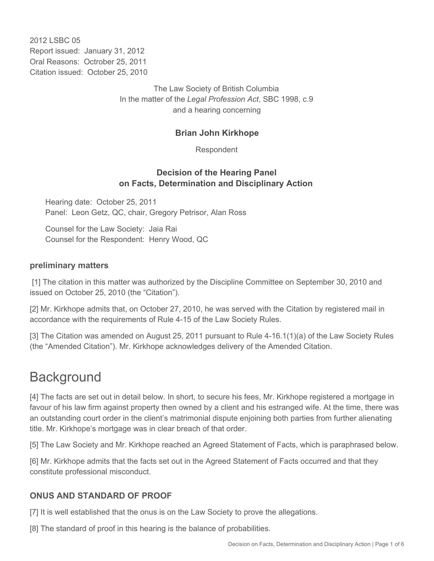2012 LSBC 05 Report issued: January 31, 2012 Oral Reasons: Octrober 25, 2011 Citation issued: October 25, 2010

> The Law Society of British Columbia In the matter of the *Legal Profession Act*, SBC 1998, c.9 and a hearing concerning

#### **Brian John Kirkhope**

Respondent

#### **Decision of the Hearing Panel on Facts, Determination and Disciplinary Action**

Hearing date: October 25, 2011 Panel: Leon Getz, QC, chair, Gregory Petrisor, Alan Ross

Counsel for the Law Society: Jaia Rai Counsel for the Respondent: Henry Wood, QC

#### **preliminary matters**

 [1] The citation in this matter was authorized by the Discipline Committee on September 30, 2010 and issued on October 25, 2010 (the "Citation").

[2] Mr. Kirkhope admits that, on October 27, 2010, he was served with the Citation by registered mail in accordance with the requirements of Rule 4-15 of the Law Society Rules.

[3] The Citation was amended on August 25, 2011 pursuant to Rule 4-16.1(1)(a) of the Law Society Rules (the "Amended Citation"). Mr. Kirkhope acknowledges delivery of the Amended Citation.

### **Background**

[4] The facts are set out in detail below. In short, to secure his fees, Mr. Kirkhope registered a mortgage in favour of his law firm against property then owned by a client and his estranged wife. At the time, there was an outstanding court order in the client's matrimonial dispute enjoining both parties from further alienating title. Mr. Kirkhope's mortgage was in clear breach of that order.

[5] The Law Society and Mr. Kirkhope reached an Agreed Statement of Facts, which is paraphrased below.

[6] Mr. Kirkhope admits that the facts set out in the Agreed Statement of Facts occurred and that they constitute professional misconduct.

#### **ONUS AND STANDARD OF PROOF**

[7] It is well established that the onus is on the Law Society to prove the allegations.

[8] The standard of proof in this hearing is the balance of probabilities.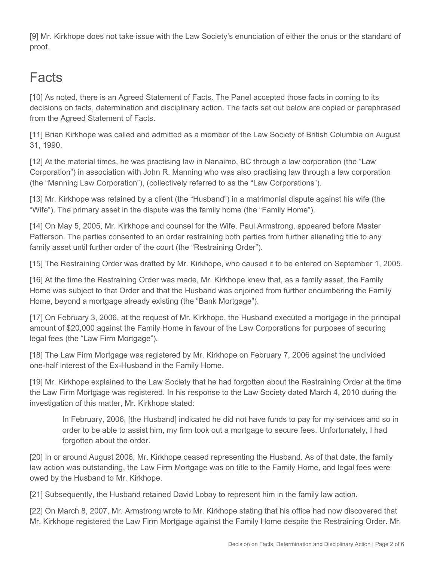[9] Mr. Kirkhope does not take issue with the Law Society's enunciation of either the onus or the standard of proof.

# **Facts**

[10] As noted, there is an Agreed Statement of Facts. The Panel accepted those facts in coming to its decisions on facts, determination and disciplinary action. The facts set out below are copied or paraphrased from the Agreed Statement of Facts.

[11] Brian Kirkhope was called and admitted as a member of the Law Society of British Columbia on August 31, 1990.

[12] At the material times, he was practising law in Nanaimo, BC through a law corporation (the "Law Corporation") in association with John R. Manning who was also practising law through a law corporation (the "Manning Law Corporation"), (collectively referred to as the "Law Corporations").

[13] Mr. Kirkhope was retained by a client (the "Husband") in a matrimonial dispute against his wife (the "Wife"). The primary asset in the dispute was the family home (the "Family Home").

[14] On May 5, 2005, Mr. Kirkhope and counsel for the Wife, Paul Armstrong, appeared before Master Patterson. The parties consented to an order restraining both parties from further alienating title to any family asset until further order of the court (the "Restraining Order").

[15] The Restraining Order was drafted by Mr. Kirkhope, who caused it to be entered on September 1, 2005.

[16] At the time the Restraining Order was made, Mr. Kirkhope knew that, as a family asset, the Family Home was subject to that Order and that the Husband was enjoined from further encumbering the Family Home, beyond a mortgage already existing (the "Bank Mortgage").

[17] On February 3, 2006, at the request of Mr. Kirkhope, the Husband executed a mortgage in the principal amount of \$20,000 against the Family Home in favour of the Law Corporations for purposes of securing legal fees (the "Law Firm Mortgage").

[18] The Law Firm Mortgage was registered by Mr. Kirkhope on February 7, 2006 against the undivided one-half interest of the Ex-Husband in the Family Home.

[19] Mr. Kirkhope explained to the Law Society that he had forgotten about the Restraining Order at the time the Law Firm Mortgage was registered. In his response to the Law Society dated March 4, 2010 during the investigation of this matter, Mr. Kirkhope stated:

In February, 2006, [the Husband] indicated he did not have funds to pay for my services and so in order to be able to assist him, my firm took out a mortgage to secure fees. Unfortunately, I had forgotten about the order.

[20] In or around August 2006, Mr. Kirkhope ceased representing the Husband. As of that date, the family law action was outstanding, the Law Firm Mortgage was on title to the Family Home, and legal fees were owed by the Husband to Mr. Kirkhope.

[21] Subsequently, the Husband retained David Lobay to represent him in the family law action.

[22] On March 8, 2007, Mr. Armstrong wrote to Mr. Kirkhope stating that his office had now discovered that Mr. Kirkhope registered the Law Firm Mortgage against the Family Home despite the Restraining Order. Mr.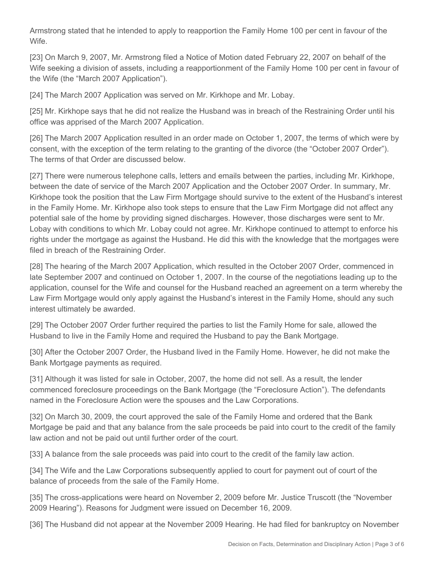Armstrong stated that he intended to apply to reapportion the Family Home 100 per cent in favour of the Wife.

[23] On March 9, 2007, Mr. Armstrong filed a Notice of Motion dated February 22, 2007 on behalf of the Wife seeking a division of assets, including a reapportionment of the Family Home 100 per cent in favour of the Wife (the "March 2007 Application").

[24] The March 2007 Application was served on Mr. Kirkhope and Mr. Lobay.

[25] Mr. Kirkhope says that he did not realize the Husband was in breach of the Restraining Order until his office was apprised of the March 2007 Application.

[26] The March 2007 Application resulted in an order made on October 1, 2007, the terms of which were by consent, with the exception of the term relating to the granting of the divorce (the "October 2007 Order"). The terms of that Order are discussed below.

[27] There were numerous telephone calls, letters and emails between the parties, including Mr. Kirkhope, between the date of service of the March 2007 Application and the October 2007 Order. In summary, Mr. Kirkhope took the position that the Law Firm Mortgage should survive to the extent of the Husband's interest in the Family Home. Mr. Kirkhope also took steps to ensure that the Law Firm Mortgage did not affect any potential sale of the home by providing signed discharges. However, those discharges were sent to Mr. Lobay with conditions to which Mr. Lobay could not agree. Mr. Kirkhope continued to attempt to enforce his rights under the mortgage as against the Husband. He did this with the knowledge that the mortgages were filed in breach of the Restraining Order.

[28] The hearing of the March 2007 Application, which resulted in the October 2007 Order, commenced in late September 2007 and continued on October 1, 2007. In the course of the negotiations leading up to the application, counsel for the Wife and counsel for the Husband reached an agreement on a term whereby the Law Firm Mortgage would only apply against the Husband's interest in the Family Home, should any such interest ultimately be awarded.

[29] The October 2007 Order further required the parties to list the Family Home for sale, allowed the Husband to live in the Family Home and required the Husband to pay the Bank Mortgage.

[30] After the October 2007 Order, the Husband lived in the Family Home. However, he did not make the Bank Mortgage payments as required.

[31] Although it was listed for sale in October, 2007, the home did not sell. As a result, the lender commenced foreclosure proceedings on the Bank Mortgage (the "Foreclosure Action"). The defendants named in the Foreclosure Action were the spouses and the Law Corporations.

[32] On March 30, 2009, the court approved the sale of the Family Home and ordered that the Bank Mortgage be paid and that any balance from the sale proceeds be paid into court to the credit of the family law action and not be paid out until further order of the court.

[33] A balance from the sale proceeds was paid into court to the credit of the family law action.

[34] The Wife and the Law Corporations subsequently applied to court for payment out of court of the balance of proceeds from the sale of the Family Home.

[35] The cross-applications were heard on November 2, 2009 before Mr. Justice Truscott (the "November 2009 Hearing"). Reasons for Judgment were issued on December 16, 2009.

[36] The Husband did not appear at the November 2009 Hearing. He had filed for bankruptcy on November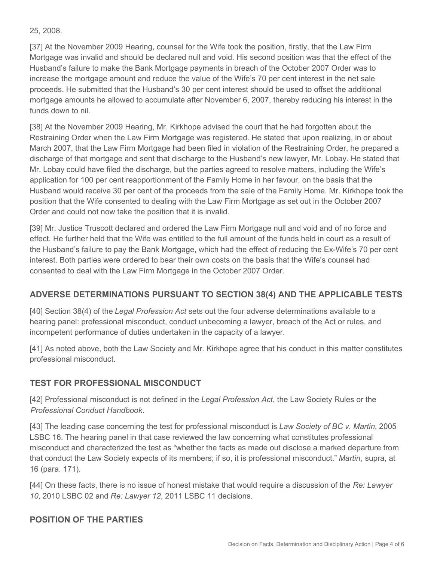#### 25, 2008.

[37] At the November 2009 Hearing, counsel for the Wife took the position, firstly, that the Law Firm Mortgage was invalid and should be declared null and void. His second position was that the effect of the Husband's failure to make the Bank Mortgage payments in breach of the October 2007 Order was to increase the mortgage amount and reduce the value of the Wife's 70 per cent interest in the net sale proceeds. He submitted that the Husband's 30 per cent interest should be used to offset the additional mortgage amounts he allowed to accumulate after November 6, 2007, thereby reducing his interest in the funds down to nil.

[38] At the November 2009 Hearing, Mr. Kirkhope advised the court that he had forgotten about the Restraining Order when the Law Firm Mortgage was registered. He stated that upon realizing, in or about March 2007, that the Law Firm Mortgage had been filed in violation of the Restraining Order, he prepared a discharge of that mortgage and sent that discharge to the Husband's new lawyer, Mr. Lobay. He stated that Mr. Lobay could have filed the discharge, but the parties agreed to resolve matters, including the Wife's application for 100 per cent reapportionment of the Family Home in her favour, on the basis that the Husband would receive 30 per cent of the proceeds from the sale of the Family Home. Mr. Kirkhope took the position that the Wife consented to dealing with the Law Firm Mortgage as set out in the October 2007 Order and could not now take the position that it is invalid.

[39] Mr. Justice Truscott declared and ordered the Law Firm Mortgage null and void and of no force and effect. He further held that the Wife was entitled to the full amount of the funds held in court as a result of the Husband's failure to pay the Bank Mortgage, which had the effect of reducing the Ex-Wife's 70 per cent interest. Both parties were ordered to bear their own costs on the basis that the Wife's counsel had consented to deal with the Law Firm Mortgage in the October 2007 Order.

#### **ADVERSE DETERMINATIONS PURSUANT TO SECTION 38(4) AND THE APPLICABLE TESTS**

[40] Section 38(4) of the *Legal Profession Act* sets out the four adverse determinations available to a hearing panel: professional misconduct, conduct unbecoming a lawyer, breach of the Act or rules, and incompetent performance of duties undertaken in the capacity of a lawyer.

[41] As noted above, both the Law Society and Mr. Kirkhope agree that his conduct in this matter constitutes professional misconduct.

#### **TEST FOR PROFESSIONAL MISCONDUCT**

[42] Professional misconduct is not defined in the *Legal Profession Act*, the Law Society Rules or the *Professional Conduct Handbook*.

[43] The leading case concerning the test for professional misconduct is *Law Society of BC v. Martin*, 2005 LSBC 16. The hearing panel in that case reviewed the law concerning what constitutes professional misconduct and characterized the test as "whether the facts as made out disclose a marked departure from that conduct the Law Society expects of its members; if so, it is professional misconduct." *Martin*, supra, at 16 (para. 171).

[44] On these facts, there is no issue of honest mistake that would require a discussion of the *Re: Lawyer 10*, 2010 LSBC 02 and *Re: Lawyer 12*, 2011 LSBC 11 decisions.

#### **POSITION OF THE PARTIES**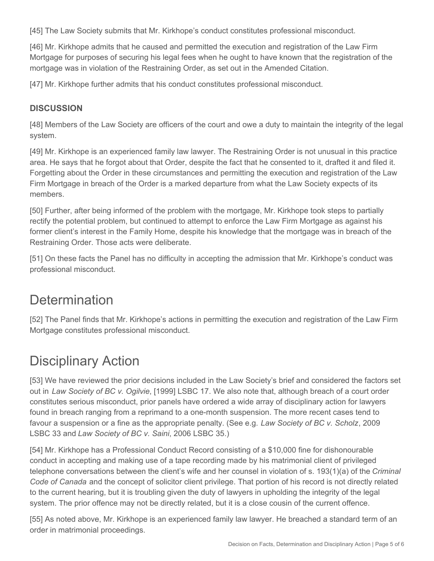[45] The Law Society submits that Mr. Kirkhope's conduct constitutes professional misconduct.

[46] Mr. Kirkhope admits that he caused and permitted the execution and registration of the Law Firm Mortgage for purposes of securing his legal fees when he ought to have known that the registration of the mortgage was in violation of the Restraining Order, as set out in the Amended Citation.

[47] Mr. Kirkhope further admits that his conduct constitutes professional misconduct.

#### **DISCUSSION**

[48] Members of the Law Society are officers of the court and owe a duty to maintain the integrity of the legal system.

[49] Mr. Kirkhope is an experienced family law lawyer. The Restraining Order is not unusual in this practice area. He says that he forgot about that Order, despite the fact that he consented to it, drafted it and filed it. Forgetting about the Order in these circumstances and permitting the execution and registration of the Law Firm Mortgage in breach of the Order is a marked departure from what the Law Society expects of its members.

[50] Further, after being informed of the problem with the mortgage, Mr. Kirkhope took steps to partially rectify the potential problem, but continued to attempt to enforce the Law Firm Mortgage as against his former client's interest in the Family Home, despite his knowledge that the mortgage was in breach of the Restraining Order. Those acts were deliberate.

[51] On these facts the Panel has no difficulty in accepting the admission that Mr. Kirkhope's conduct was professional misconduct.

### **Determination**

[52] The Panel finds that Mr. Kirkhope's actions in permitting the execution and registration of the Law Firm Mortgage constitutes professional misconduct.

## Disciplinary Action

[53] We have reviewed the prior decisions included in the Law Society's brief and considered the factors set out in *Law Society of BC v. Ogilvie*, [1999] LSBC 17. We also note that, although breach of a court order constitutes serious misconduct, prior panels have ordered a wide array of disciplinary action for lawyers found in breach ranging from a reprimand to a one-month suspension. The more recent cases tend to favour a suspension or a fine as the appropriate penalty. (See e.g. *Law Society of BC v. Scholz*, 2009 LSBC 33 and *Law Society of BC v. Saini*, 2006 LSBC 35.)

[54] Mr. Kirkhope has a Professional Conduct Record consisting of a \$10,000 fine for dishonourable conduct in accepting and making use of a tape recording made by his matrimonial client of privileged telephone conversations between the client's wife and her counsel in violation of s. 193(1)(a) of the *Criminal Code of Canada* and the concept of solicitor client privilege. That portion of his record is not directly related to the current hearing, but it is troubling given the duty of lawyers in upholding the integrity of the legal system. The prior offence may not be directly related, but it is a close cousin of the current offence.

[55] As noted above, Mr. Kirkhope is an experienced family law lawyer. He breached a standard term of an order in matrimonial proceedings.